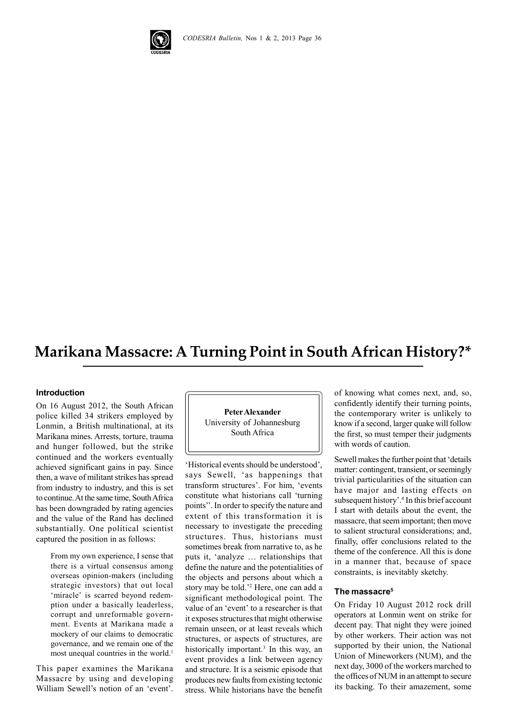

# **Marikana Massacre: A Turning Point in South African History?\***

#### **Introduction**

On 16 August 2012, the South African police killed 34 strikers employed by Lonmin, a British multinational, at its Marikana mines. Arrests, torture, trauma and hunger followed, but the strike continued and the workers eventually achieved significant gains in pay. Since then, a wave of militant strikes has spread from industry to industry, and this is set to continue. At the same time, South Africa has been downgraded by rating agencies and the value of the Rand has declined substantially. One political scientist captured the position in as follows:

> From my own experience, I sense that there is a virtual consensus among overseas opinion-makers (including strategic investors) that out local 'miracle' is scarred beyond redemption under a basically leaderless, corrupt and unreformable government. Events at Marikana made a mockery of our claims to democratic governance, and we remain one of the most unequal countries in the world.<sup>1</sup>

This paper examines the Marikana Massacre by using and developing William Sewell's notion of an 'event'.

**Peter Alexander** University of Johannesburg South Africa

'Historical events should be understood', says Sewell, 'as happenings that transform structures'. For him, 'events constitute what historians call 'turning points''. In order to specify the nature and extent of this transformation it is necessary to investigate the preceding structures. Thus, historians must sometimes break from narrative to, as he puts it, 'analyze … relationships that define the nature and the potentialities of the objects and persons about which a story may be told.'2 Here, one can add a significant methodological point. The value of an 'event' to a researcher is that it exposes structures that might otherwise remain unseen, or at least reveals which structures, or aspects of structures, are historically important.<sup>3</sup> In this way, an event provides a link between agency and structure. It is a seismic episode that produces new faults from existing tectonic stress. While historians have the benefit

of knowing what comes next, and, so, confidently identify their turning points, the contemporary writer is unlikely to know if a second, larger quake will follow the first, so must temper their judgments with words of caution.

Sewell makes the further point that 'details matter: contingent, transient, or seemingly trivial particularities of the situation can have major and lasting effects on subsequent history'.<sup>4</sup> In this brief account I start with details about the event, the massacre, that seem important; then move to salient structural considerations; and, finally, offer conclusions related to the theme of the conference. All this is done in a manner that, because of space constraints, is inevitably sketchy.

### **The massacre5**

On Friday 10 August 2012 rock drill operators at Lonmin went on strike for decent pay. That night they were joined by other workers. Their action was not supported by their union, the National Union of Mineworkers (NUM), and the next day, 3000 of the workers marched to the offices of NUM in an attempt to secure its backing. To their amazement, some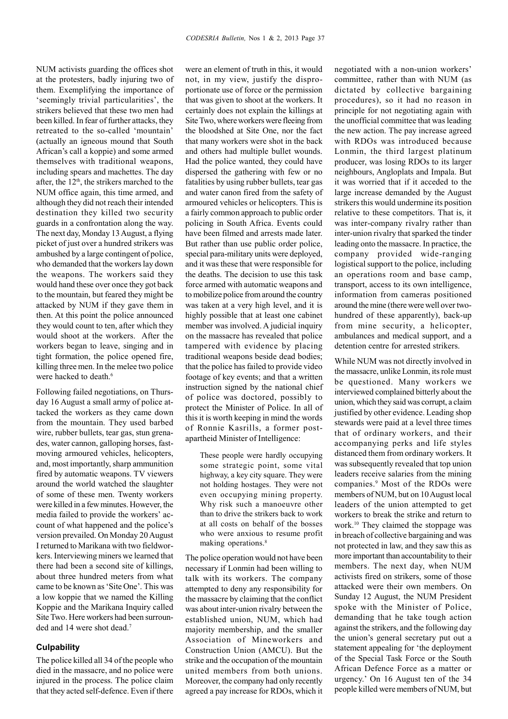NUM activists guarding the offices shot at the protesters, badly injuring two of them. Exemplifying the importance of 'seemingly trivial particularities', the strikers believed that these two men had been killed. In fear of further attacks, they retreated to the so-called 'mountain' (actually an igneous mound that South African's call a koppie) and some armed themselves with traditional weapons, including spears and machettes. The day after, the 12<sup>th</sup>, the strikers marched to the NUM office again, this time armed, and although they did not reach their intended destination they killed two security guards in a confrontation along the way. The next day, Monday 13 August, a flying picket of just over a hundred strikers was ambushed by a large contingent of police, who demanded that the workers lay down the weapons. The workers said they would hand these over once they got back to the mountain, but feared they might be attacked by NUM if they gave them in then. At this point the police announced they would count to ten, after which they would shoot at the workers. After the workers began to leave, singing and in tight formation, the police opened fire, killing three men. In the melee two police were hacked to death.<sup>6</sup>

Following failed negotiations, on Thursday 16 August a small army of police attacked the workers as they came down from the mountain. They used barbed wire, rubber bullets, tear gas, stun grenades, water cannon, galloping horses, fastmoving armoured vehicles, helicopters, and, most importantly, sharp ammunition fired by automatic weapons. TV viewers around the world watched the slaughter of some of these men. Twenty workers were killed in a few minutes. However, the media failed to provide the workers' account of what happened and the police's version prevailed. On Monday 20 August I returned to Marikana with two fieldworkers. Interviewing miners we learned that there had been a second site of killings, about three hundred meters from what came to be known as 'Site One'. This was a low koppie that we named the Killing Koppie and the Marikana Inquiry called Site Two. Here workers had been surrounded and 14 were shot dead.<sup>7</sup>

## **Culpability**

The police killed all 34 of the people who died in the massacre, and no police were injured in the process. The police claim that they acted self-defence. Even if there

were an element of truth in this, it would not, in my view, justify the disproportionate use of force or the permission that was given to shoot at the workers. It certainly does not explain the killings at Site Two, where workers were fleeing from the bloodshed at Site One, nor the fact that many workers were shot in the back and others had multiple bullet wounds. Had the police wanted, they could have dispersed the gathering with few or no fatalities by using rubber bullets, tear gas and water canon fired from the safety of armoured vehicles or helicopters. This is a fairly common approach to public order policing in South Africa. Events could have been filmed and arrests made later. But rather than use public order police, special para-military units were deployed, and it was these that were responsible for the deaths. The decision to use this task force armed with automatic weapons and to mobilize police from around the country was taken at a very high level, and it is highly possible that at least one cabinet member was involved. A judicial inquiry on the massacre has revealed that police tampered with evidence by placing traditional weapons beside dead bodies; that the police has failed to provide video footage of key events; and that a written instruction signed by the national chief of police was doctored, possibly to protect the Minister of Police. In all of this it is worth keeping in mind the words of Ronnie Kasrills, a former postapartheid Minister of Intelligence:

> These people were hardly occupying some strategic point, some vital highway, a key city square. They were not holding hostages. They were not even occupying mining property. Why risk such a manoeuvre other than to drive the strikers back to work at all costs on behalf of the bosses who were anxious to resume profit making operations.<sup>8</sup>

The police operation would not have been necessary if Lonmin had been willing to talk with its workers. The company attempted to deny any responsibility for the massacre by claiming that the conflict was about inter-union rivalry between the established union, NUM, which had majority membership, and the smaller Association of Mineworkers and Construction Union (AMCU). But the strike and the occupation of the mountain united members from both unions. Moreover, the company had only recently agreed a pay increase for RDOs, which it negotiated with a non-union workers' committee, rather than with NUM (as dictated by collective bargaining procedures), so it had no reason in principle for not negotiating again with the unofficial committee that was leading the new action. The pay increase agreed with RDOs was introduced because Lonmin, the third largest platinum producer, was losing RDOs to its larger neighbours, Angloplats and Impala. But it was worried that if it acceded to the large increase demanded by the August strikers this would undermine its position relative to these competitors. That is, it was inter-company rivalry rather than inter-union rivalry that sparked the tinder leading onto the massacre. In practice, the company provided wide-ranging logistical support to the police, including an operations room and base camp, transport, access to its own intelligence, information from cameras positioned around the mine (there were well over twohundred of these apparently), back-up from mine security, a helicopter, ambulances and medical support, and a detention centre for arrested strikers.

While NUM was not directly involved in the massacre, unlike Lonmin, its role must be questioned. Many workers we interviewed complained bitterly about the union, which they said was corrupt, a claim justified by other evidence. Leading shop stewards were paid at a level three times that of ordinary workers, and their accompanying perks and life styles distanced them from ordinary workers. It was subsequently revealed that top union leaders receive salaries from the mining companies.9 Most of the RDOs were members of NUM, but on 10 August local leaders of the union attempted to get workers to break the strike and return to work.10 They claimed the stoppage was in breach of collective bargaining and was not protected in law, and they saw this as more important than accountability to their members. The next day, when NUM activists fired on strikers, some of those attacked were their own members. On Sunday 12 August, the NUM President spoke with the Minister of Police, demanding that he take tough action against the strikers, and the following day the union's general secretary put out a statement appealing for 'the deployment of the Special Task Force or the South African Defence Force as a matter or urgency.' On 16 August ten of the 34 people killed were members of NUM, but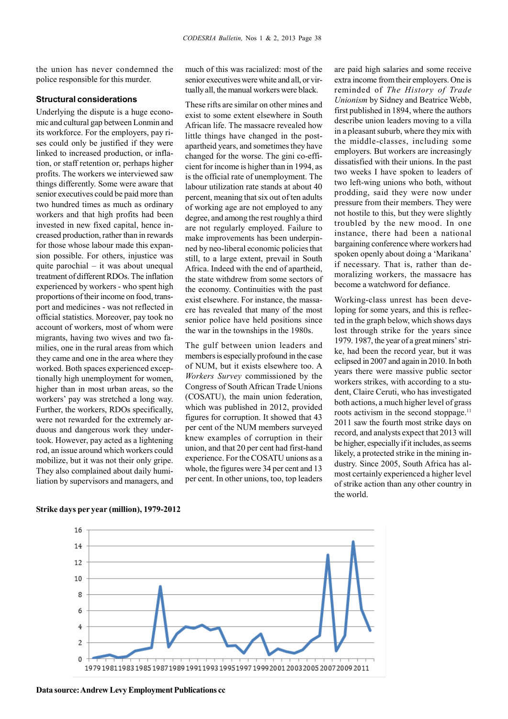the union has never condemned the police responsible for this murder.

## **Structural considerations**

Underlying the dispute is a huge economic and cultural gap between Lonmin and its workforce. For the employers, pay rises could only be justified if they were linked to increased production, or inflation, or staff retention or, perhaps higher profits. The workers we interviewed saw things differently. Some were aware that senior executives could be paid more than two hundred times as much as ordinary workers and that high profits had been invested in new fixed capital, hence increased production, rather than in rewards for those whose labour made this expansion possible. For others, injustice was quite parochial – it was about unequal treatment of different RDOs. The inflation experienced by workers - who spent high proportions of their income on food, transport and medicines - was not reflected in official statistics. Moreover, pay took no account of workers, most of whom were migrants, having two wives and two families, one in the rural areas from which they came and one in the area where they worked. Both spaces experienced exceptionally high unemployment for women, higher than in most urban areas, so the workers' pay was stretched a long way. Further, the workers, RDOs specifically, were not rewarded for the extremely arduous and dangerous work they undertook. However, pay acted as a lightening rod, an issue around which workers could mobilize, but it was not their only gripe. They also complained about daily humiliation by supervisors and managers, and

much of this was racialized: most of the senior executives were white and all, or virtually all, the manual workers were black.

These rifts are similar on other mines and exist to some extent elsewhere in South African life. The massacre revealed how little things have changed in the postapartheid years, and sometimes they have changed for the worse. The gini co-efficient for income is higher than in 1994, as is the official rate of unemployment. The labour utilization rate stands at about 40 percent, meaning that six out of ten adults of working age are not employed to any degree, and among the rest roughly a third are not regularly employed. Failure to make improvements has been underpinned by neo-liberal economic policies that still, to a large extent, prevail in South Africa. Indeed with the end of apartheid, the state withdrew from some sectors of the economy. Continuities with the past exist elsewhere. For instance, the massacre has revealed that many of the most senior police have held positions since the war in the townships in the 1980s.

The gulf between union leaders and members is especially profound in the case of NUM, but it exists elsewhere too. A *Workers Survey* commissioned by the Congress of South African Trade Unions (COSATU), the main union federation, which was published in 2012, provided figures for corruption. It showed that 43 per cent of the NUM members surveyed knew examples of corruption in their union, and that 20 per cent had first-hand experience. For the COSATU unions as a whole, the figures were 34 per cent and 13 per cent. In other unions, too, top leaders

are paid high salaries and some receive extra income from their employers. One is reminded of *The History of Trade Unionism* by Sidney and Beatrice Webb, first published in 1894, where the authors describe union leaders moving to a villa in a pleasant suburb, where they mix with the middle-classes, including some employers. But workers are increasingly dissatisfied with their unions. In the past two weeks I have spoken to leaders of two left-wing unions who both, without prodding, said they were now under pressure from their members. They were not hostile to this, but they were slightly troubled by the new mood. In one instance, there had been a national bargaining conference where workers had spoken openly about doing a 'Marikana' if necessary. That is, rather than demoralizing workers, the massacre has become a watchword for defiance.

Working-class unrest has been developing for some years, and this is reflected in the graph below, which shows days lost through strike for the years since 1979. 1987, the year of a great miners' strike, had been the record year, but it was eclipsed in 2007 and again in 2010. In both years there were massive public sector workers strikes, with according to a student, Claire Ceruti, who has investigated both actions, a much higher level of grass roots activism in the second stoppage.<sup>11</sup> 2011 saw the fourth most strike days on record, and analysts expect that 2013 will be higher, especially if it includes, as seems likely, a protected strike in the mining industry. Since 2005, South Africa has almost certainly experienced a higher level of strike action than any other country in the world.





**Data source: Andrew Levy Employment Publications cc**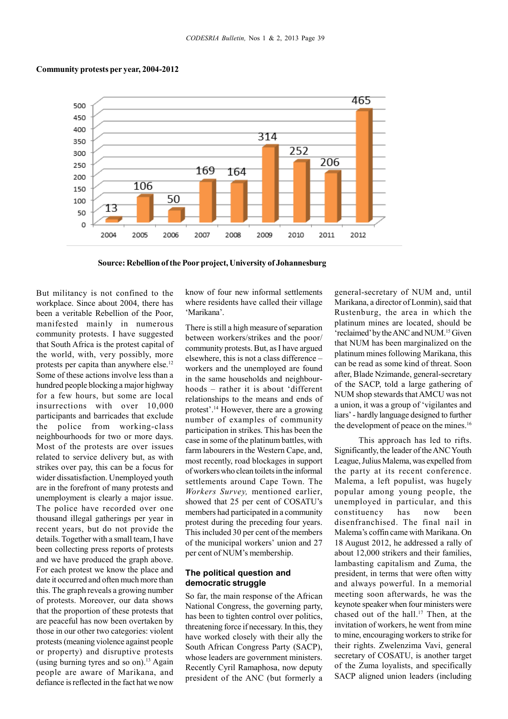## **Community protests per year, 2004-2012**



**Source: Rebellion of the Poor project, University of Johannesburg**

But militancy is not confined to the workplace. Since about 2004, there has been a veritable Rebellion of the Poor, manifested mainly in numerous community protests. I have suggested that South Africa is the protest capital of the world, with, very possibly, more protests per capita than anywhere else.<sup>12</sup> Some of these actions involve less than a hundred people blocking a major highway for a few hours, but some are local insurrections with over 10,000 participants and barricades that exclude the police from working-class neighbourhoods for two or more days. Most of the protests are over issues related to service delivery but, as with strikes over pay, this can be a focus for wider dissatisfaction. Unemployed youth are in the forefront of many protests and unemployment is clearly a major issue. The police have recorded over one thousand illegal gatherings per year in recent years, but do not provide the details. Together with a small team, I have been collecting press reports of protests and we have produced the graph above. For each protest we know the place and date it occurred and often much more than this. The graph reveals a growing number of protests. Moreover, our data shows that the proportion of these protests that are peaceful has now been overtaken by those in our other two categories: violent protests (meaning violence against people or property) and disruptive protests (using burning tyres and so on).<sup>13</sup> Again people are aware of Marikana, and defiance is reflected in the fact hat we now know of four new informal settlements where residents have called their village 'Marikana'.

There is still a high measure of separation between workers/strikes and the poor/ community protests. But, as I have argued elsewhere, this is not a class difference – workers and the unemployed are found in the same households and neighbourhoods – rather it is about 'different relationships to the means and ends of protest'.14 However, there are a growing number of examples of community participation in strikes. This has been the case in some of the platinum battles, with farm labourers in the Western Cape, and, most recently, road blockages in support of workers who clean toilets in the informal settlements around Cape Town. The *Workers Survey,* mentioned earlier, showed that 25 per cent of COSATU's members had participated in a community protest during the preceding four years. This included 30 per cent of the members of the municipal workers' union and 27 per cent of NUM's membership.

# **The political question and democratic struggle**

So far, the main response of the African National Congress, the governing party, has been to tighten control over politics, threatening force if necessary. In this, they have worked closely with their ally the South African Congress Party (SACP), whose leaders are government ministers. Recently Cyril Ramaphosa, now deputy president of the ANC (but formerly a

general-secretary of NUM and, until Marikana, a director of Lonmin), said that Rustenburg, the area in which the platinum mines are located, should be 'reclaimed' by the ANC and NUM.15 Given that NUM has been marginalized on the platinum mines following Marikana, this can be read as some kind of threat. Soon after, Blade Nzimande, general-secretary of the SACP, told a large gathering of NUM shop stewards that AMCU was not a union, it was a group of 'vigilantes and liars' - hardly language designed to further the development of peace on the mines.<sup>16</sup>

This approach has led to rifts. Significantly, the leader of the ANC Youth League, Julius Malema, was expelled from the party at its recent conference. Malema, a left populist, was hugely popular among young people, the unemployed in particular, and this constituency has now been disenfranchised. The final nail in Malema's coffin came with Marikana. On 18 August 2012, he addressed a rally of about 12,000 strikers and their families, lambasting capitalism and Zuma, the president, in terms that were often witty and always powerful. In a memorial meeting soon afterwards, he was the keynote speaker when four ministers were chased out of the hall.<sup>17</sup> Then, at the invitation of workers, he went from mine to mine, encouraging workers to strike for their rights. Zwelenzima Vavi, general secretary of COSATU, is another target of the Zuma loyalists, and specifically SACP aligned union leaders (including